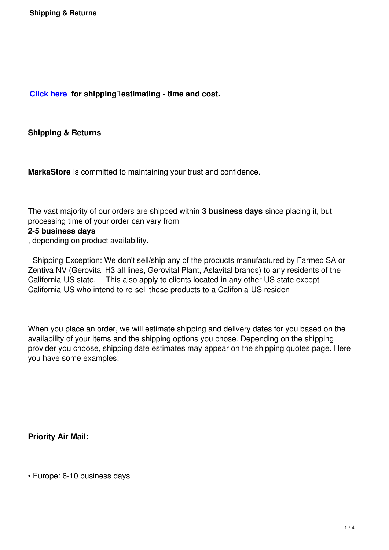**Click here for shipping estimating - time and cost.** 

**[Shipping &](en/table/2/0.html?resetfilters=1) Returns**

**MarkaStore** is committed to maintaining your trust and confidence.

The vast majority of our orders are shipped within **3 business days** since placing it, but processing time of your order can vary from

## **2-5 business days**

, depending on product availability.

 Shipping Exception: We don't sell/ship any of the products manufactured by Farmec SA or Zentiva NV (Gerovital H3 all lines, Gerovital Plant, Aslavital brands) to any residents of the California-US state. This also apply to clients located in any other US state except California-US who intend to re-sell these products to a Califonia-US residen

When you place an order, we will estimate shipping and delivery dates for you based on the availability of your items and the shipping options you chose. Depending on the shipping provider you choose, shipping date estimates may appear on the shipping quotes page. Here you have some examples:

**Priority Air Mail:**

• Europe: 6-10 business days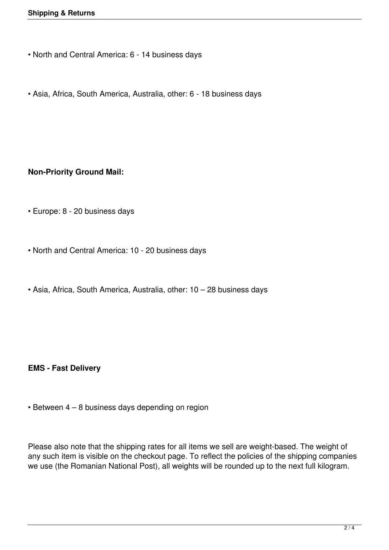- North and Central America: 6 14 business days
- Asia, Africa, South America, Australia, other: 6 18 business days

## **Non-Priority Ground Mail:**

- Europe: 8 20 business days
- North and Central America: 10 20 business days
- Asia, Africa, South America, Australia, other: 10 28 business days

**EMS - Fast Delivery**

• Between 4 – 8 business days depending on region

Please also note that the shipping rates for all items we sell are weight-based. The weight of any such item is visible on the checkout page. To reflect the policies of the shipping companies we use (the Romanian National Post), all weights will be rounded up to the next full kilogram.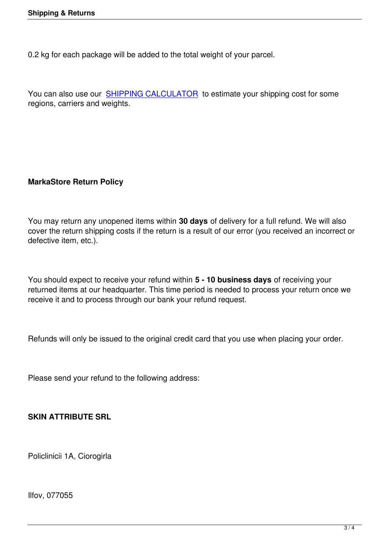0.2 kg for each package will be added to the total weight of your parcel.

You can also use our SHIPPING CALCULATOR to estimate your shipping cost for some regions, carriers and weights.

## **MarkaStore Return Policy**

You may return any unopened items within **30 days** of delivery for a full refund. We will also cover the return shipping costs if the return is a result of our error (you received an incorrect or defective item, etc.).

You should expect to receive your refund within **5 - 10 business days** of receiving your returned items at our headquarter. This time period is needed to process your return once we receive it and to process through our bank your refund request.

Refunds will only be issued to the original credit card that you use when placing your order.

Please send your refund to the following address:

**SKIN ATTRIBUTE SRL**

Policlinicii 1A, Ciorogirla

Ilfov, 077055